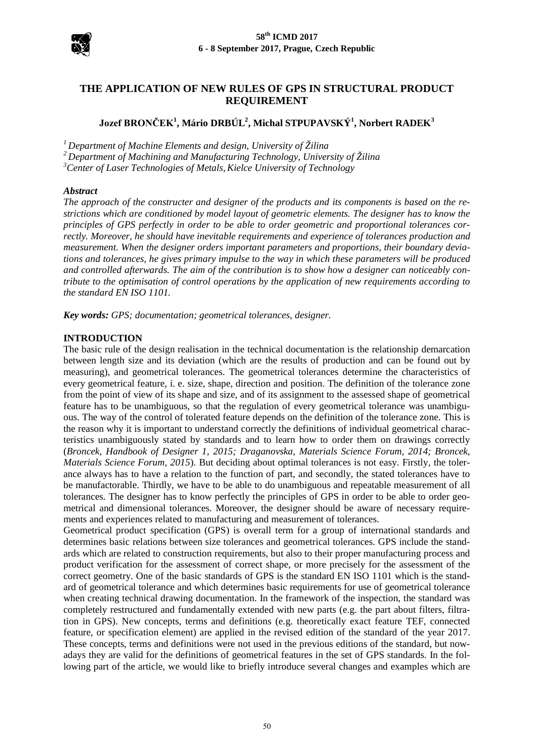

# **THE APPLICATION OF NEW RULES OF GPS IN STRUCTURAL PRODUCT REQUIREMENT**

# **Jozef BRONČEK<sup>1</sup> , Mário DRBÚL2 , Michal STPUPAVSKÝ<sup>1</sup> , Norbert RADEK<sup>3</sup>**

*1 Department of Machine Elements and design, University of Žilina*

*2 Department of Machining and Manufacturing Technology, University of Žilina*

<sup>3</sup> Center of Laser Technologies of Metals, Kielce University of Technology

#### *Abstract*

*The approach of the constructer and designer of the products and its components is based on the restrictions which are conditioned by model layout of geometric elements. The designer has to know the principles of GPS perfectly in order to be able to order geometric and proportional tolerances correctly. Moreover, he should have inevitable requirements and experience of tolerances production and measurement. When the designer orders important parameters and proportions, their boundary deviations and tolerances, he gives primary impulse to the way in which these parameters will be produced and controlled afterwards. The aim of the contribution is to show how a designer can noticeably contribute to the optimisation of control operations by the application of new requirements according to the standard EN ISO 1101.* 

*Key words: GPS; documentation; geometrical tolerances, designer.*

#### **INTRODUCTION**

The basic rule of the design realisation in the technical documentation is the relationship demarcation between length size and its deviation (which are the results of production and can be found out by measuring), and geometrical tolerances. The geometrical tolerances determine the characteristics of every geometrical feature, i. e. size, shape, direction and position. The definition of the tolerance zone from the point of view of its shape and size, and of its assignment to the assessed shape of geometrical feature has to be unambiguous, so that the regulation of every geometrical tolerance was unambiguous. The way of the control of tolerated feature depends on the definition of the tolerance zone. This is the reason why it is important to understand correctly the definitions of individual geometrical characteristics unambiguously stated by standards and to learn how to order them on drawings correctly (*Broncek, Handbook of Designer 1, 2015; Draganovska, Materials Science Forum, 2014; Broncek, Materials Science Forum, 2015*). But deciding about optimal tolerances is not easy. Firstly, the tolerance always has to have a relation to the function of part, and secondly, the stated tolerances have to be manufactorable. Thirdly, we have to be able to do unambiguous and repeatable measurement of all tolerances. The designer has to know perfectly the principles of GPS in order to be able to order geometrical and dimensional tolerances. Moreover, the designer should be aware of necessary requirements and experiences related to manufacturing and measurement of tolerances.

Geometrical product specification (GPS) is overall term for a group of international standards and determines basic relations between size tolerances and geometrical tolerances. GPS include the standards which are related to construction requirements, but also to their proper manufacturing process and product verification for the assessment of correct shape, or more precisely for the assessment of the correct geometry. One of the basic standards of GPS is the standard EN ISO 1101 which is the standard of geometrical tolerance and which determines basic requirements for use of geometrical tolerance when creating technical drawing documentation. In the framework of the inspection, the standard was completely restructured and fundamentally extended with new parts (e.g. the part about filters, filtration in GPS). New concepts, terms and definitions (e.g. theoretically exact feature TEF, connected feature, or specification element) are applied in the revised edition of the standard of the year 2017. These concepts, terms and definitions were not used in the previous editions of the standard, but nowadays they are valid for the definitions of geometrical features in the set of GPS standards. In the following part of the article, we would like to briefly introduce several changes and examples which are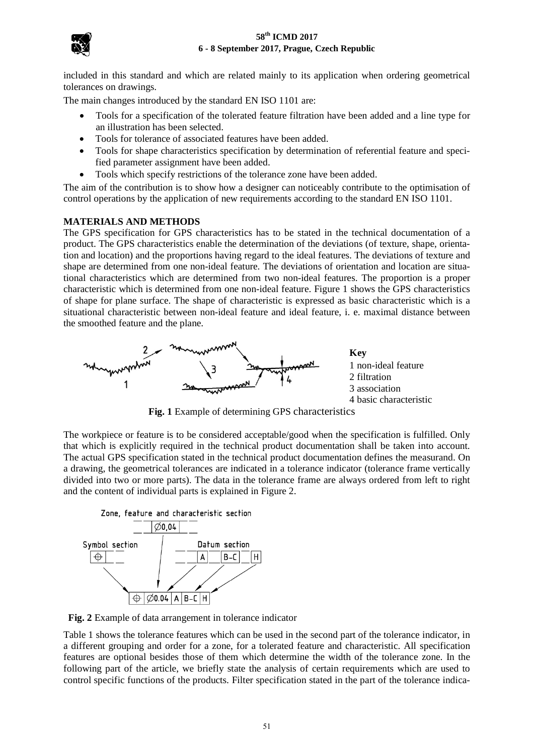

included in this standard and which are related mainly to its application when ordering geometrical tolerances on drawings.

The main changes introduced by the standard EN ISO 1101 are:

- Tools for a specification of the tolerated feature filtration have been added and a line type for an illustration has been selected.
- Tools for tolerance of associated features have been added.
- Tools for shape characteristics specification by determination of referential feature and specified parameter assignment have been added.
- Tools which specify restrictions of the tolerance zone have been added.

The aim of the contribution is to show how a designer can noticeably contribute to the optimisation of control operations by the application of new requirements according to the standard EN ISO 1101.

## **MATERIALS AND METHODS**

The GPS specification for GPS characteristics has to be stated in the technical documentation of a product. The GPS characteristics enable the determination of the deviations (of texture, shape, orientation and location) and the proportions having regard to the ideal features. The deviations of texture and shape are determined from one non-ideal feature. The deviations of orientation and location are situational characteristics which are determined from two non-ideal features. The proportion is a proper characteristic which is determined from one non-ideal feature. Figure 1 shows the GPS characteristics of shape for plane surface. The shape of characteristic is expressed as basic characteristic which is a situational characteristic between non-ideal feature and ideal feature, i. e. maximal distance between the smoothed feature and the plane.



**Fig. 1** Example of determining GPS characteristics

The workpiece or feature is to be considered acceptable/good when the specification is fulfilled. Only that which is explicitly required in the technical product documentation shall be taken into account. The actual GPS specification stated in the technical product documentation defines the measurand. On a drawing, the geometrical tolerances are indicated in a tolerance indicator (tolerance frame vertically divided into two or more parts). The data in the tolerance frame are always ordered from left to right and the content of individual parts is explained in Figure 2.



**Fig. 2** Example of data arrangement in tolerance indicator

Table 1 shows the tolerance features which can be used in the second part of the tolerance indicator, in a different grouping and order for a zone, for a tolerated feature and characteristic. All specification features are optional besides those of them which determine the width of the tolerance zone. In the following part of the article, we briefly state the analysis of certain requirements which are used to control specific functions of the products. Filter specification stated in the part of the tolerance indica-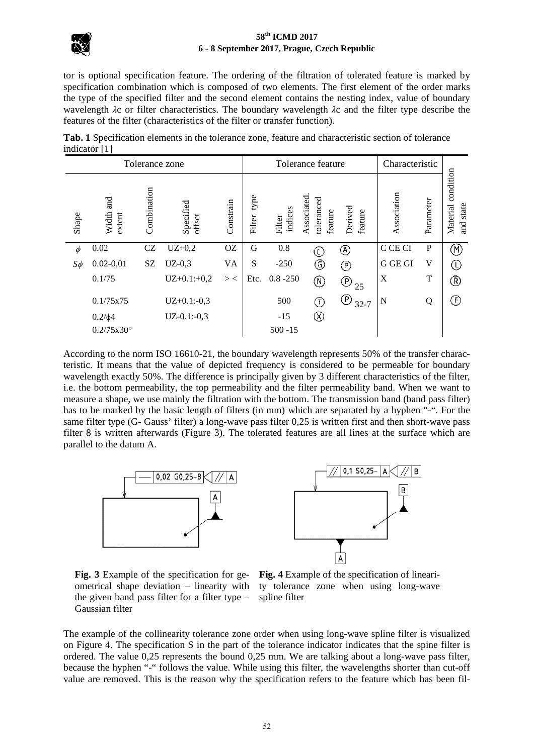

tor is optional specification feature. The ordering of the filtration of tolerated feature is marked by specification combination which is composed of two elements. The first element of the order marks the type of the specified filter and the second element contains the nesting index, value of boundary wavelength *λ*c or filter characteristics. The boundary wavelength *λ*c and the filter type describe the features of the filter (characteristics of the filter or transfer function).

**Tab. 1** Specification elements in the tolerance zone, feature and characteristic section of tolerance indicator [1]

| Tolerance zone |                     |             |                     |           | Tolerance feature |                   |                          |                               | Characteristic |              |                                               |
|----------------|---------------------|-------------|---------------------|-----------|-------------------|-------------------|--------------------------|-------------------------------|----------------|--------------|-----------------------------------------------|
| Shape          | Width and<br>extent | Combination | Specified<br>offset | Constrain | type<br>Filter    | indices<br>Filter | Associated<br>toleranced | Derived<br>feature<br>feature | Association    | Parameter    | condition<br>state<br>Material<br><b>Tand</b> |
| $\phi$         | 0.02                | CZ          | $UZ+0,2$            | <b>OZ</b> | G                 | 0.8               | C                        | $^\circledR$                  | C CE CI        | $\mathbf{P}$ | M)                                            |
| $S\phi$        | $0.02 - 0.01$       | SZ          | $UZ-0,3$            | <b>VA</b> | S                 | $-250$            | ⊙                        | ℗                             | G GE GI        | V            | (L)                                           |
|                | 0.1/75              |             | $UZ+0.1:+0,2$       | $>$ <     | Etc.              | $0.8 - 250$       | $^\circledR$             | $\circled{P}_{25}$            | X              | T            | ®                                             |
|                | 0.1/75x75           |             | $UZ+0.1:-0,3$       |           |                   | 500               | (T)                      | ®<br>$32 - 7$                 | N              | Q            | (F)                                           |
|                | $0.2/\phi 4$        |             | $UZ-0.1:-0.3$       |           |                   | $-15$             | (X)                      |                               |                |              |                                               |
|                | $0.2/75x30^{\circ}$ |             |                     |           |                   | $500 - 15$        |                          |                               |                |              |                                               |

According to the norm ISO 16610-21, the boundary wavelength represents 50% of the transfer characteristic. It means that the value of depicted frequency is considered to be permeable for boundary wavelength exactly 50%. The difference is principally given by 3 different characteristics of the filter, i.e. the bottom permeability, the top permeability and the filter permeability band. When we want to measure a shape, we use mainly the filtration with the bottom. The transmission band (band pass filter) has to be marked by the basic length of filters (in mm) which are separated by a hyphen "-". For the same filter type (G- Gauss' filter) a long-wave pass filter 0,25 is written first and then short-wave pass filter 8 is written afterwards (Figure 3). The tolerated features are all lines at the surface which are parallel to the datum A.





**Fig. 3** Example of the specification for geometrical shape deviation – linearity with the given band pass filter for a filter type – Gaussian filter

**Fig. 4** Example of the specification of linearity tolerance zone when using long-wave spline filter

The example of the collinearity tolerance zone order when using long-wave spline filter is visualized on Figure 4. The specification S in the part of the tolerance indicator indicates that the spine filter is ordered. The value 0,25 represents the bound 0,25 mm. We are talking about a long-wave pass filter, because the hyphen "-" follows the value. While using this filter, the wavelengths shorter than cut-off value are removed. This is the reason why the specification refers to the feature which has been fil-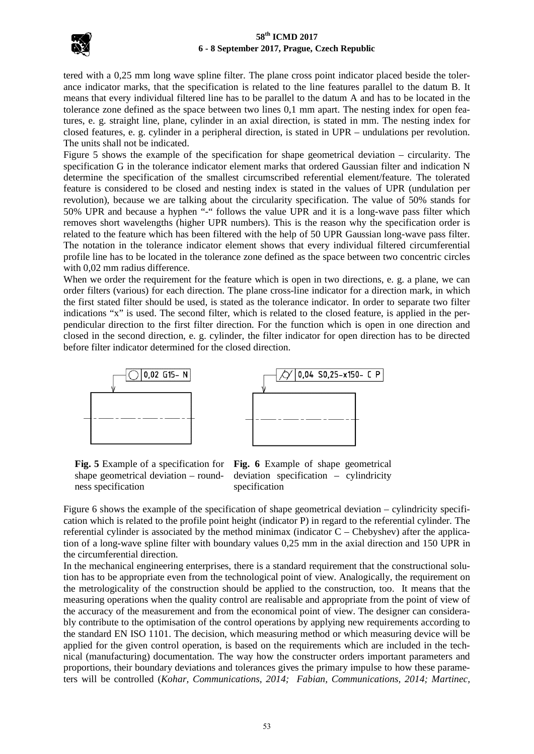

tered with a 0,25 mm long wave spline filter. The plane cross point indicator placed beside the tolerance indicator marks, that the specification is related to the line features parallel to the datum B. It means that every individual filtered line has to be parallel to the datum A and has to be located in the tolerance zone defined as the space between two lines 0,1 mm apart. The nesting index for open features, e. g. straight line, plane, cylinder in an axial direction, is stated in mm. The nesting index for closed features, e. g. cylinder in a peripheral direction, is stated in UPR – undulations per revolution. The units shall not be indicated.

Figure 5 shows the example of the specification for shape geometrical deviation – circularity. The specification G in the tolerance indicator element marks that ordered Gaussian filter and indication N determine the specification of the smallest circumscribed referential element/feature. The tolerated feature is considered to be closed and nesting index is stated in the values of UPR (undulation per revolution), because we are talking about the circularity specification. The value of 50% stands for 50% UPR and because a hyphen "-" follows the value UPR and it is a long-wave pass filter which removes short wavelengths (higher UPR numbers). This is the reason why the specification order is related to the feature which has been filtered with the help of 50 UPR Gaussian long-wave pass filter. The notation in the tolerance indicator element shows that every individual filtered circumferential profile line has to be located in the tolerance zone defined as the space between two concentric circles with 0,02 mm radius difference.

When we order the requirement for the feature which is open in two directions, e. g. a plane, we can order filters (various) for each direction. The plane cross-line indicator for a direction mark, in which the first stated filter should be used, is stated as the tolerance indicator. In order to separate two filter indications "x" is used. The second filter, which is related to the closed feature, is applied in the perpendicular direction to the first filter direction. For the function which is open in one direction and closed in the second direction, e. g. cylinder, the filter indicator for open direction has to be directed before filter indicator determined for the closed direction.



shape geometrical deviation – roundness specification

**Fig. 5** Example of a specification for **Fig. 6** Example of shape geometrical deviation specification – cylindricity specification

Figure 6 shows the example of the specification of shape geometrical deviation – cylindricity specification which is related to the profile point height (indicator P) in regard to the referential cylinder. The referential cylinder is associated by the method minimax (indicator C – Chebyshev) after the application of a long-wave spline filter with boundary values 0,25 mm in the axial direction and 150 UPR in the circumferential direction.

In the mechanical engineering enterprises, there is a standard requirement that the constructional solution has to be appropriate even from the technological point of view. Analogically, the requirement on the metrologicality of the construction should be applied to the construction, too. It means that the measuring operations when the quality control are realisable and appropriate from the point of view of the accuracy of the measurement and from the economical point of view. The designer can considerably contribute to the optimisation of the control operations by applying new requirements according to the standard EN ISO 1101. The decision, which measuring method or which measuring device will be applied for the given control operation, is based on the requirements which are included in the technical (manufacturing) documentation. The way how the constructer orders important parameters and proportions, their boundary deviations and tolerances gives the primary impulse to how these parameters will be controlled (*Kohar, Communications, 2014; Fabian, Communications, 2014; Martinec,*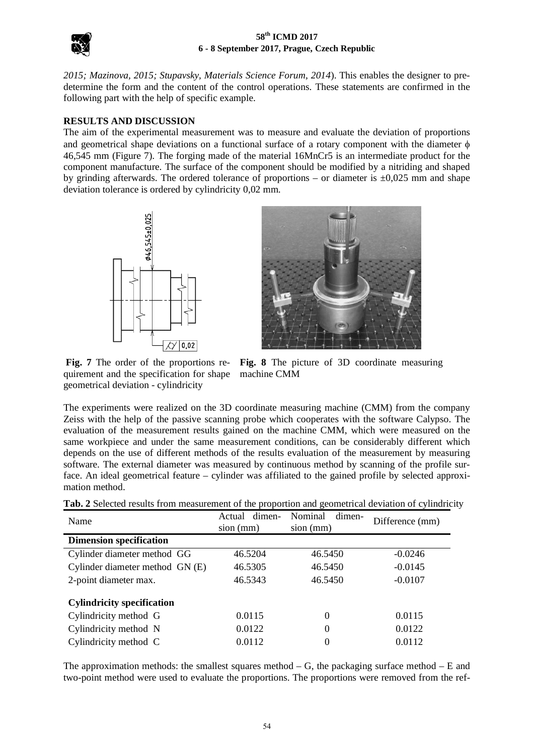

*2015; Mazinova, 2015; Stupavsky, Materials Science Forum, 2014*). This enables the designer to predetermine the form and the content of the control operations. These statements are confirmed in the following part with the help of specific example.

## **RESULTS AND DISCUSSION**

The aim of the experimental measurement was to measure and evaluate the deviation of proportions and geometrical shape deviations on a functional surface of a rotary component with the diameter  $\phi$ 46,545 mm (Figure 7). The forging made of the material 16MnCr5 is an intermediate product for the component manufacture. The surface of the component should be modified by a nitriding and shaped by grinding afterwards. The ordered tolerance of proportions – or diameter is  $\pm 0.025$  mm and shape deviation tolerance is ordered by cylindricity 0,02 mm.





**Fig. 7** The order of the proportions requirement and the specification for shape geometrical deviation - cylindricity

**Fig. 8** The picture of 3D coordinate measuring machine CMM

The experiments were realized on the 3D coordinate measuring machine (CMM) from the company Zeiss with the help of the passive scanning probe which cooperates with the software Calypso. The evaluation of the measurement results gained on the machine CMM, which were measured on the same workpiece and under the same measurement conditions, can be considerably different which depends on the use of different methods of the results evaluation of the measurement by measuring software. The external diameter was measured by continuous method by scanning of the profile surface. An ideal geometrical feature – cylinder was affiliated to the gained profile by selected approximation method.

| Name                              | dimen-<br>Actual<br>$sion$ (mm) | Nominal<br>dimen-<br>$sion$ (mm) | Difference (mm) |  |
|-----------------------------------|---------------------------------|----------------------------------|-----------------|--|
| <b>Dimension specification</b>    |                                 |                                  |                 |  |
| Cylinder diameter method GG       | 46.5204                         | 46.5450                          | $-0.0246$       |  |
| Cylinder diameter method GN (E)   | 46.5305                         | 46.5450                          | $-0.0145$       |  |
| 2-point diameter max.             | 46.5343                         | 46.5450                          | $-0.0107$       |  |
| <b>Cylindricity specification</b> |                                 |                                  |                 |  |
| Cylindricity method G             | 0.0115                          | $\Omega$                         | 0.0115          |  |
| Cylindricity method N             | 0.0122                          | 0                                | 0.0122          |  |
| Cylindricity method C             | 0.0112                          | $\theta$                         | 0.0112          |  |

The approximation methods: the smallest squares method  $- G$ , the packaging surface method  $- E$  and two-point method were used to evaluate the proportions. The proportions were removed from the ref-